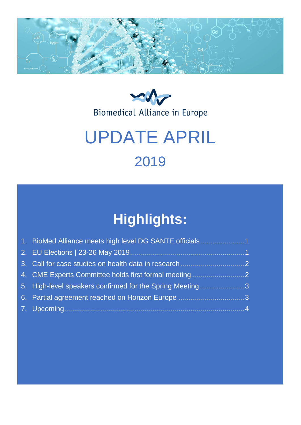



# UPDATE APRIL 2019

# **Highlights:**

| 1. BioMed Alliance meets high level DG SANTE officials1  |
|----------------------------------------------------------|
|                                                          |
|                                                          |
| 4. CME Experts Committee holds first formal meeting      |
| 5. High-level speakers confirmed for the Spring Meeting3 |
| 6. Partial agreement reached on Horizon Europe 3         |
|                                                          |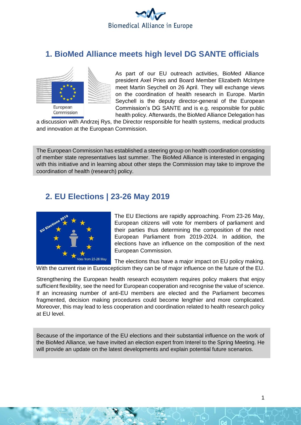

#### <span id="page-1-0"></span>**1. BioMed Alliance meets high level DG SANTE officials**



As part of our EU outreach activities, BioMed Alliance president Axel Pries and Board Member Elizabeth McIntyre meet Martin Seychell on 26 April. They will exchange views on the coordination of health research in Europe. Martin Seychell is the deputy director-general of the European Commission's DG SANTE and is e.g. responsible for public health policy. Afterwards, the BioMed Alliance Delegation has

a discussion with Andrzej Rys, the Director responsible for health systems, medical products and innovation at the European Commission.

The European Commission has established a steering group on health coordination consisting of member state representatives last summer. The BioMed Alliance is interested in engaging with this initiative and in learning about other steps the Commission may take to improve the coordination of health (research) policy.

#### <span id="page-1-1"></span>**2. EU Elections | 23-26 May 2019**



The EU Elections are rapidly approaching. From 23-26 May, European citizens will vote for members of parliament and their parties thus determining the composition of the next European Parliament from 2019-2024. In addition, the elections have an influence on the composition of the next European Commission.

The elections thus have a major impact on EU policy making.

With the current rise in Euroscepticism they can be of major influence on the future of the EU.

Strengthening the European health research ecosystem requires policy makers that enjoy sufficient flexibility, see the need for European cooperation and recognise the value of science. If an increasing number of anti-EU members are elected and the Parliament becomes fragmented, decision making procedures could become lengthier and more complicated. Moreover, this may lead to less cooperation and coordination related to health research policy at EU level.

Because of the importance of the EU elections and their substantial influence on the work of the BioMed Alliance, we have invited an election expert from Interel to the Spring Meeting. He will provide an update on the latest developments and explain potential future scenarios.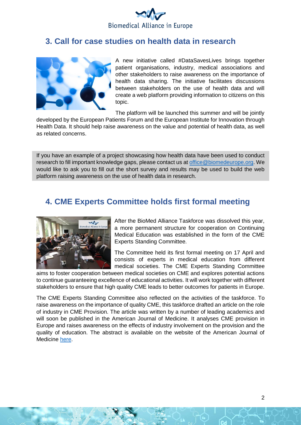

#### <span id="page-2-0"></span>**3. Call for case studies on health data in research**



A new initiative called #DataSavesLives brings together patient organisations, industry, medical associations and other stakeholders to raise awareness on the importance of health data sharing. The initiative facilitates discussions between stakeholders on the use of health data and will create a web platform providing information to citizens on this topic.

The platform will be launched this summer and will be jointly

developed by the European Patients Forum and the European Institute for Innovation through Health Data. It should help raise awareness on the value and potential of health data, as well as related concerns.

If you have an example of a project showcasing how health data have been used to conduct research to fill important knowledge gaps, please contact us a[t office@biomedeurope.org.](mailto:office@biomedeurope.org) We would like to ask you to fill out the short survey and results may be used to build the web platform raising awareness on the use of health data in research.

#### <span id="page-2-1"></span>**4. CME Experts Committee holds first formal meeting**



After the BioMed Alliance Taskforce was dissolved this year, a more permanent structure for cooperation on Continuing Medical Education was established in the form of the CME Experts Standing Committee.

The Committee held its first formal meeting on 17 April and consists of experts in medical education from different medical societies. The CME Experts Standing Committee

aims to foster cooperation between medical societies on CME and explores potential actions to continue guaranteeing excellence of educational activities. It will work together with different stakeholders to ensure that high quality CME leads to better outcomes for patients in Europe.

The CME Experts Standing Committee also reflected on the activities of the taskforce. To raise awareness on the importance of quality CME, this taskforce drafted an article on the role of industry in CME Provision. The article was written by a number of leading academics and will soon be published in the American Journal of Medicine. It analyses CME provision in Europe and raises awareness on the effects of industry involvement on the provision and the quality of education. The abstract is available on the website of the American Journal of Medicine [here.](https://www.amjmed.com/article/S0002-9343(19)30221-9/pdf)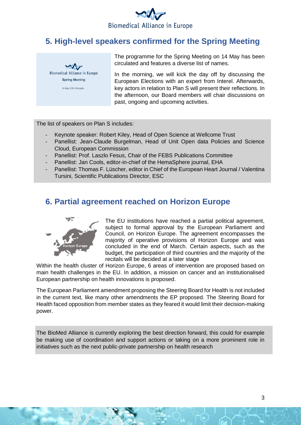

### <span id="page-3-0"></span>**5. High-level speakers confirmed for the Spring Meeting**



The programme for the Spring Meeting on 14 May has been circulated and features a diverse list of names.

In the morning, we will kick the day off by discussing the European Elections with an expert from Interel. Afterwards, key actors in relation to Plan S will present their reflections. In the afternoon, our Board members will chair discussions on past, ongoing and upcoming activities.

The list of speakers on Plan S includes:

- Keynote speaker: Robert Kiley, Head of Open Science at Wellcome Trust
- Panellist: Jean-Claude Burgelman, Head of Unit Open data Policies and Science Cloud, European Commission
- Panellist: Prof. Laszlo Fesus, Chair of the FEBS Publications Committee
- Panellist: Jan Cools, editor-in-chief of the HemaSphere journal, EHA
- Panellist: Thomas F. Lüscher, editor in Chief of the European Heart Journal / Valentina Tursini, Scientific Publications Director, ESC

#### <span id="page-3-1"></span>**6. Partial agreement reached on Horizon Europe**



The EU institutions have reached a partial political agreement, subject to formal approval by the European Parliament and Council, on Horizon Europe. The agreement encompasses the majority of operative provisions of Horizon Europe and was concluded in the end of March. Certain aspects, such as the budget, the participation of third countries and the majority of the recitals will be decided at a later stage

Within the health cluster of Horizon Europe, 6 areas of intervention are proposed based on main health challenges in the EU. In addition, a mission on cancer and an institutionalised European partnership on health innovations is proposed.

The European Parliament amendment proposing the Steering Board for Health is not included in the current text, like many other amendments the EP proposed. The Steering Board for Health faced opposition from member states as they feared it would limit their decision-making power.

The BioMed Alliance is currently exploring the best direction forward, this could for example be making use of coordination and support actions or taking on a more prominent role in initiatives such as the next public-private partnership on health research